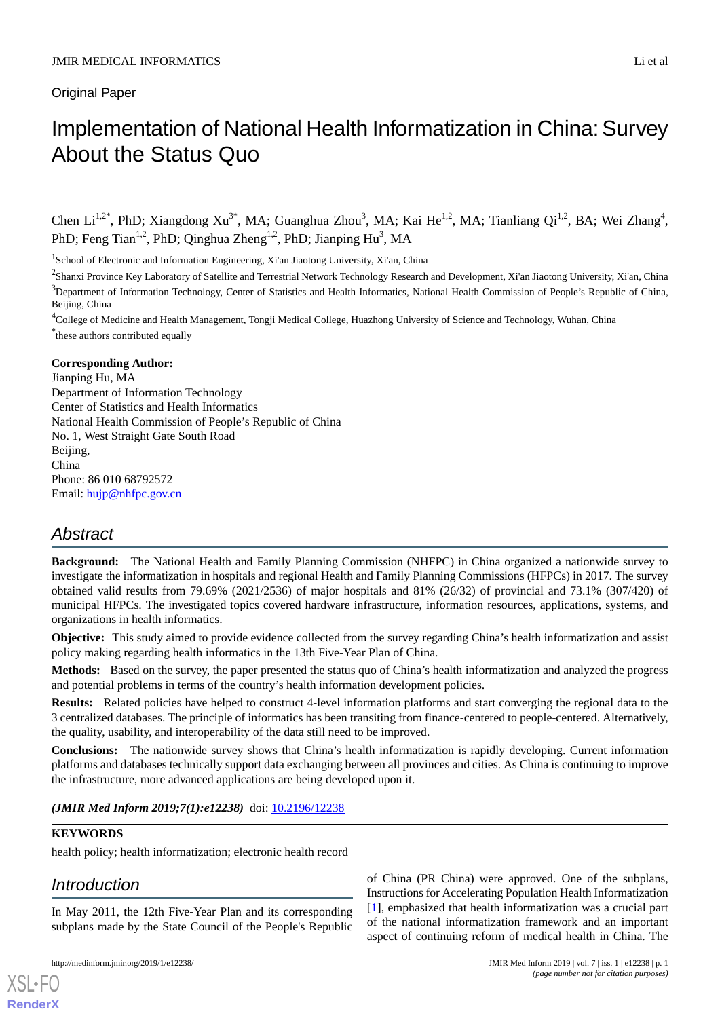# **Original Paper**

# Implementation of National Health Informatization in China: Survey About the Status Quo

Chen Li<sup>1,2\*</sup>, PhD; Xiangdong Xu<sup>3\*</sup>, MA; Guanghua Zhou<sup>3</sup>, MA; Kai He<sup>1,2</sup>, MA; Tianliang Qi<sup>1,2</sup>, BA; Wei Zhang<sup>4</sup>, PhD; Feng Tian<sup>1,2</sup>, PhD; Qinghua Zheng<sup>1,2</sup>, PhD; Jianping Hu<sup>3</sup>, MA

<sup>1</sup>School of Electronic and Information Engineering, Xi'an Jiaotong University, Xi'an, China

<sup>4</sup>College of Medicine and Health Management, Tongji Medical College, Huazhong University of Science and Technology, Wuhan, China \* these authors contributed equally

# **Corresponding Author:**

Jianping Hu, MA Department of Information Technology Center of Statistics and Health Informatics National Health Commission of People's Republic of China No. 1, West Straight Gate South Road Beijing. China Phone: 86 010 68792572 Email: [hujp@nhfpc.gov.cn](mailto:hujp@nhfpc.gov.cn)

# *Abstract*

**Background:** The National Health and Family Planning Commission (NHFPC) in China organized a nationwide survey to investigate the informatization in hospitals and regional Health and Family Planning Commissions (HFPCs) in 2017. The survey obtained valid results from 79.69% (2021/2536) of major hospitals and 81% (26/32) of provincial and 73.1% (307/420) of municipal HFPCs. The investigated topics covered hardware infrastructure, information resources, applications, systems, and organizations in health informatics.

**Objective:** This study aimed to provide evidence collected from the survey regarding China's health informatization and assist policy making regarding health informatics in the 13th Five-Year Plan of China.

**Methods:** Based on the survey, the paper presented the status quo of China's health informatization and analyzed the progress and potential problems in terms of the country's health information development policies.

**Results:** Related policies have helped to construct 4-level information platforms and start converging the regional data to the 3 centralized databases. The principle of informatics has been transiting from finance-centered to people-centered. Alternatively, the quality, usability, and interoperability of the data still need to be improved.

**Conclusions:** The nationwide survey shows that China's health informatization is rapidly developing. Current information platforms and databases technically support data exchanging between all provinces and cities. As China is continuing to improve the infrastructure, more advanced applications are being developed upon it.

(JMIR Med Inform 2019;7(1):e12238) doi: [10.2196/12238](http://dx.doi.org/10.2196/12238)

# **KEYWORDS**

health policy; health informatization; electronic health record

# *Introduction*

[XSL](http://www.w3.org/Style/XSL)•FO **[RenderX](http://www.renderx.com/)**

In May 2011, the 12th Five-Year Plan and its corresponding subplans made by the State Council of the People's Republic

of China (PR China) were approved. One of the subplans, Instructions for Accelerating Population Health Informatization [[1\]](#page-6-0), emphasized that health informatization was a crucial part of the national informatization framework and an important aspect of continuing reform of medical health in China. The

<sup>&</sup>lt;sup>2</sup>Shanxi Province Key Laboratory of Satellite and Terrestrial Network Technology Research and Development, Xi'an Jiaotong University, Xi'an, China  $3$ Department of Information Technology, Center of Statistics and Health Informatics, National Health Commission of People's Republic of China, Beijing, China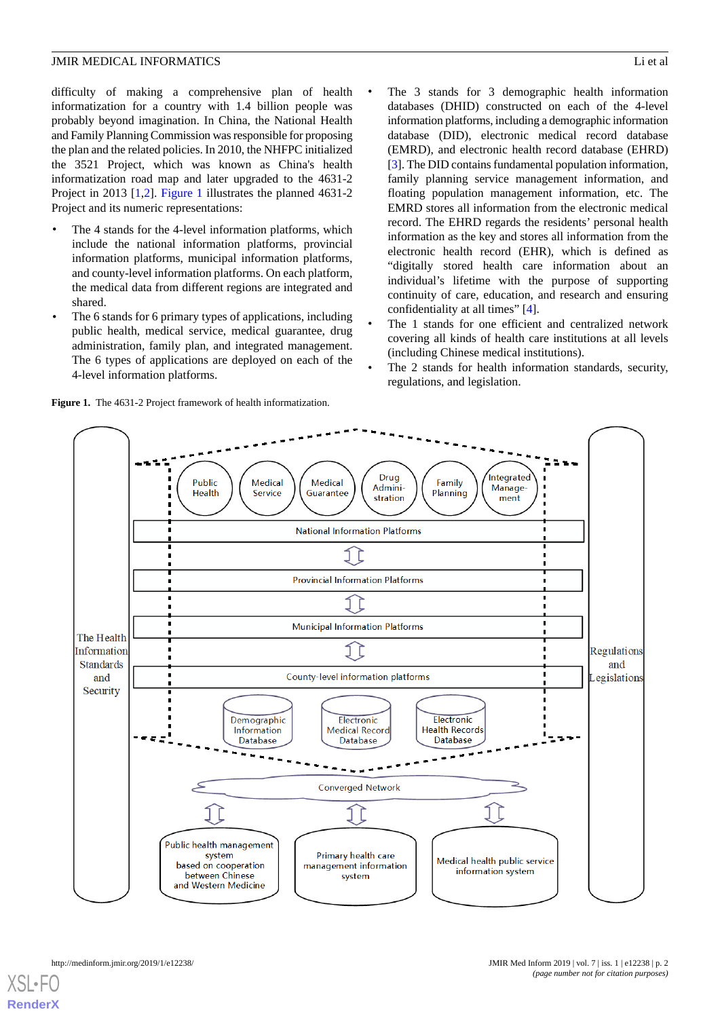difficulty of making a comprehensive plan of health informatization for a country with 1.4 billion people was probably beyond imagination. In China, the National Health and Family Planning Commission was responsible for proposing the plan and the related policies. In 2010, the NHFPC initialized the 3521 Project, which was known as China's health informatization road map and later upgraded to the 4631-2 Project in 2013 [[1,](#page-6-0)[2](#page-6-1)]. [Figure 1](#page-1-0) illustrates the planned 4631-2 Project and its numeric representations:

- The 4 stands for the 4-level information platforms, which include the national information platforms, provincial information platforms, municipal information platforms, and county-level information platforms. On each platform, the medical data from different regions are integrated and shared.
- The 6 stands for 6 primary types of applications, including public health, medical service, medical guarantee, drug administration, family plan, and integrated management. The 6 types of applications are deployed on each of the 4-level information platforms.
- The 3 stands for 3 demographic health information databases (DHID) constructed on each of the 4-level information platforms, including a demographic information database (DID), electronic medical record database (EMRD), and electronic health record database (EHRD) [[3\]](#page-6-2). The DID contains fundamental population information, family planning service management information, and floating population management information, etc. The EMRD stores all information from the electronic medical record. The EHRD regards the residents' personal health information as the key and stores all information from the electronic health record (EHR), which is defined as "digitally stored health care information about an individual's lifetime with the purpose of supporting continuity of care, education, and research and ensuring confidentiality at all times" [\[4](#page-6-3)].
- The 1 stands for one efficient and centralized network covering all kinds of health care institutions at all levels (including Chinese medical institutions).
- The 2 stands for health information standards, security, regulations, and legislation.



<span id="page-1-0"></span>**Figure 1.** The 4631-2 Project framework of health informatization.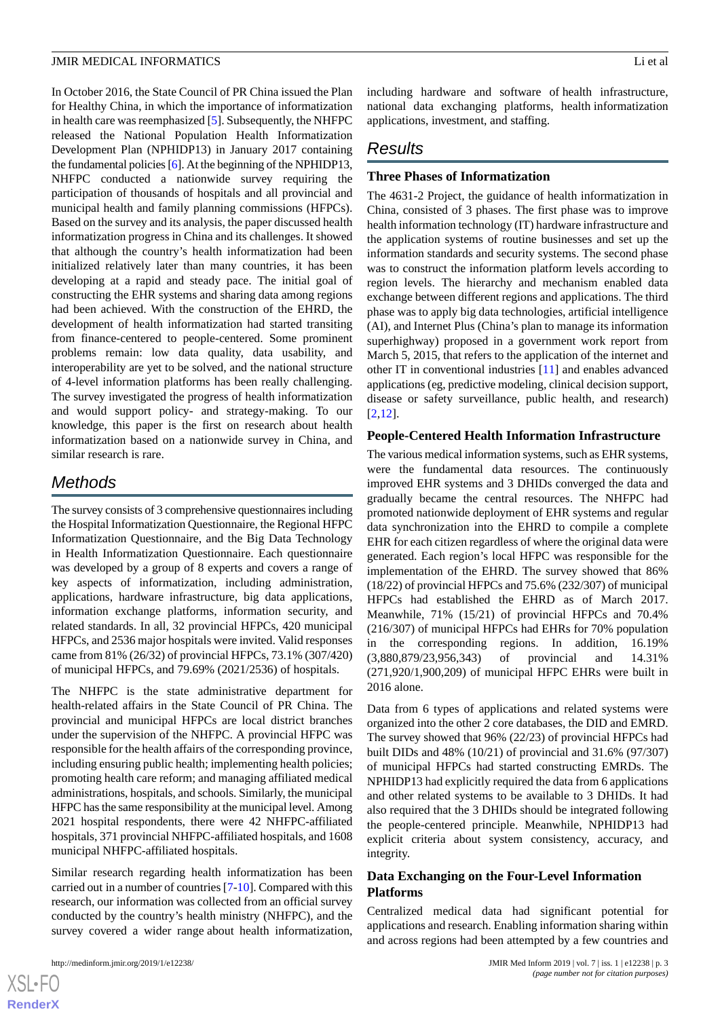In October 2016, the State Council of PR China issued the Plan for Healthy China, in which the importance of informatization in health care was reemphasized [[5\]](#page-6-4). Subsequently, the NHFPC released the National Population Health Informatization Development Plan (NPHIDP13) in January 2017 containing the fundamental policies [\[6\]](#page-6-5). At the beginning of the NPHIDP13, NHFPC conducted a nationwide survey requiring the participation of thousands of hospitals and all provincial and municipal health and family planning commissions (HFPCs). Based on the survey and its analysis, the paper discussed health informatization progress in China and its challenges. It showed that although the country's health informatization had been initialized relatively later than many countries, it has been developing at a rapid and steady pace. The initial goal of constructing the EHR systems and sharing data among regions had been achieved. With the construction of the EHRD, the development of health informatization had started transiting from finance-centered to people-centered. Some prominent problems remain: low data quality, data usability, and interoperability are yet to be solved, and the national structure of 4-level information platforms has been really challenging. The survey investigated the progress of health informatization and would support policy- and strategy-making. To our knowledge, this paper is the first on research about health informatization based on a nationwide survey in China, and similar research is rare.

# *Methods*

The survey consists of 3 comprehensive questionnaires including the Hospital Informatization Questionnaire, the Regional HFPC Informatization Questionnaire, and the Big Data Technology in Health Informatization Questionnaire. Each questionnaire was developed by a group of 8 experts and covers a range of key aspects of informatization, including administration, applications, hardware infrastructure, big data applications, information exchange platforms, information security, and related standards. In all, 32 provincial HFPCs, 420 municipal HFPCs, and 2536 major hospitals were invited. Valid responses came from 81% (26/32) of provincial HFPCs, 73.1% (307/420) of municipal HFPCs, and 79.69% (2021/2536) of hospitals.

The NHFPC is the state administrative department for health-related affairs in the State Council of PR China. The provincial and municipal HFPCs are local district branches under the supervision of the NHFPC. A provincial HFPC was responsible for the health affairs of the corresponding province, including ensuring public health; implementing health policies; promoting health care reform; and managing affiliated medical administrations, hospitals, and schools. Similarly, the municipal HFPC has the same responsibility at the municipal level. Among 2021 hospital respondents, there were 42 NHFPC-affiliated hospitals, 371 provincial NHFPC-affiliated hospitals, and 1608 municipal NHFPC-affiliated hospitals.

Similar research regarding health informatization has been carried out in a number of countries [[7](#page-6-6)[-10](#page-6-7)]. Compared with this research, our information was collected from an official survey conducted by the country's health ministry (NHFPC), and the survey covered a wider range about health informatization,

 $XSI - F($ **[RenderX](http://www.renderx.com/)**

# *Results*

#### **Three Phases of Informatization**

The 4631-2 Project, the guidance of health informatization in China, consisted of 3 phases. The first phase was to improve health information technology (IT) hardware infrastructure and the application systems of routine businesses and set up the information standards and security systems. The second phase was to construct the information platform levels according to region levels. The hierarchy and mechanism enabled data exchange between different regions and applications. The third phase was to apply big data technologies, artificial intelligence (AI), and Internet Plus (China's plan to manage its information superhighway) proposed in a government work report from March 5, 2015, that refers to the application of the internet and other IT in conventional industries [[11\]](#page-6-8) and enables advanced applications (eg, predictive modeling, clinical decision support, disease or safety surveillance, public health, and research) [[2](#page-6-1)[,12](#page-6-9)].

#### **People-Centered Health Information Infrastructure**

The various medical information systems, such as EHR systems, were the fundamental data resources. The continuously improved EHR systems and 3 DHIDs converged the data and gradually became the central resources. The NHFPC had promoted nationwide deployment of EHR systems and regular data synchronization into the EHRD to compile a complete EHR for each citizen regardless of where the original data were generated. Each region's local HFPC was responsible for the implementation of the EHRD. The survey showed that 86% (18/22) of provincial HFPCs and 75.6% (232/307) of municipal HFPCs had established the EHRD as of March 2017. Meanwhile, 71% (15/21) of provincial HFPCs and 70.4% (216/307) of municipal HFPCs had EHRs for 70% population in the corresponding regions. In addition, 16.19% (3,880,879/23,956,343) of provincial and 14.31% (271,920/1,900,209) of municipal HFPC EHRs were built in 2016 alone.

Data from 6 types of applications and related systems were organized into the other 2 core databases, the DID and EMRD. The survey showed that 96% (22/23) of provincial HFPCs had built DIDs and 48% (10/21) of provincial and 31.6% (97/307) of municipal HFPCs had started constructing EMRDs. The NPHIDP13 had explicitly required the data from 6 applications and other related systems to be available to 3 DHIDs. It had also required that the 3 DHIDs should be integrated following the people-centered principle. Meanwhile, NPHIDP13 had explicit criteria about system consistency, accuracy, and integrity.

## **Data Exchanging on the Four-Level Information Platforms**

Centralized medical data had significant potential for applications and research. Enabling information sharing within and across regions had been attempted by a few countries and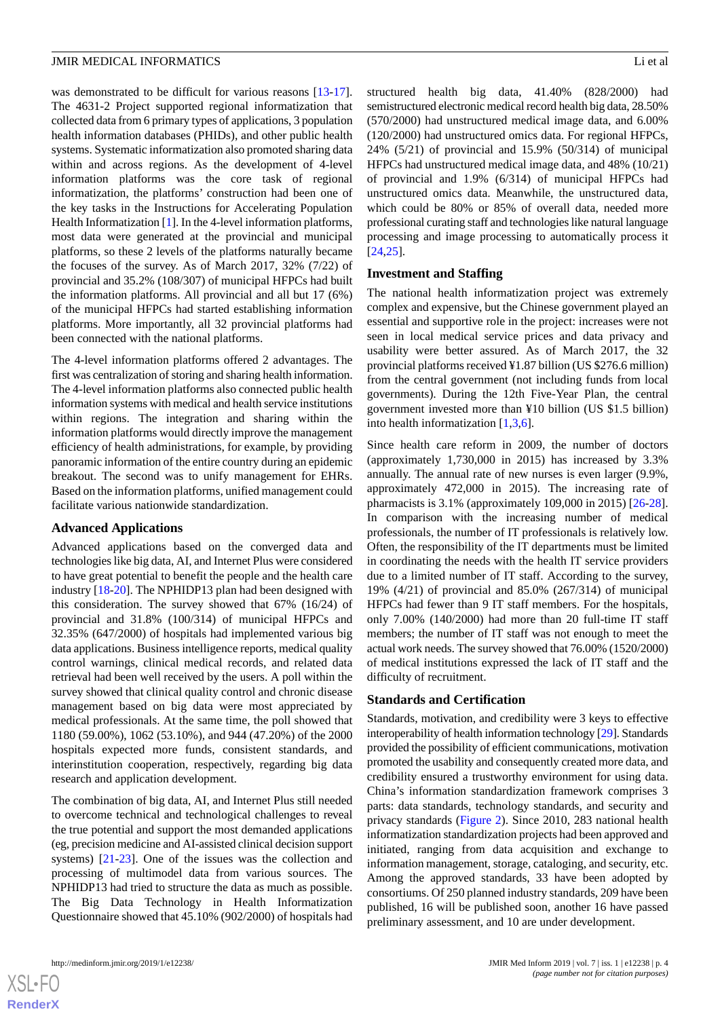was demonstrated to be difficult for various reasons [\[13](#page-6-10)-[17\]](#page-7-0). The 4631-2 Project supported regional informatization that collected data from 6 primary types of applications, 3 population health information databases (PHIDs), and other public health systems. Systematic informatization also promoted sharing data within and across regions. As the development of 4-level information platforms was the core task of regional informatization, the platforms' construction had been one of the key tasks in the Instructions for Accelerating Population Health Informatization [\[1](#page-6-0)]. In the 4-level information platforms, most data were generated at the provincial and municipal platforms, so these 2 levels of the platforms naturally became the focuses of the survey. As of March 2017, 32% (7/22) of provincial and 35.2% (108/307) of municipal HFPCs had built the information platforms. All provincial and all but 17 (6%) of the municipal HFPCs had started establishing information platforms. More importantly, all 32 provincial platforms had been connected with the national platforms.

The 4-level information platforms offered 2 advantages. The first was centralization of storing and sharing health information. The 4-level information platforms also connected public health information systems with medical and health service institutions within regions. The integration and sharing within the information platforms would directly improve the management efficiency of health administrations, for example, by providing panoramic information of the entire country during an epidemic breakout. The second was to unify management for EHRs. Based on the information platforms, unified management could facilitate various nationwide standardization.

#### **Advanced Applications**

Advanced applications based on the converged data and technologies like big data, AI, and Internet Plus were considered to have great potential to benefit the people and the health care industry [[18](#page-7-1)[-20](#page-7-2)]. The NPHIDP13 plan had been designed with this consideration. The survey showed that 67% (16/24) of provincial and 31.8% (100/314) of municipal HFPCs and 32.35% (647/2000) of hospitals had implemented various big data applications. Business intelligence reports, medical quality control warnings, clinical medical records, and related data retrieval had been well received by the users. A poll within the survey showed that clinical quality control and chronic disease management based on big data were most appreciated by medical professionals. At the same time, the poll showed that 1180 (59.00%), 1062 (53.10%), and 944 (47.20%) of the 2000 hospitals expected more funds, consistent standards, and interinstitution cooperation, respectively, regarding big data research and application development.

The combination of big data, AI, and Internet Plus still needed to overcome technical and technological challenges to reveal the true potential and support the most demanded applications (eg, precision medicine and AI-assisted clinical decision support systems) [\[21](#page-7-3)[-23](#page-7-4)]. One of the issues was the collection and processing of multimodel data from various sources. The NPHIDP13 had tried to structure the data as much as possible. The Big Data Technology in Health Informatization Questionnaire showed that 45.10% (902/2000) of hospitals had

 $XSI - F($ **[RenderX](http://www.renderx.com/)** structured health big data, 41.40% (828/2000) had semistructured electronic medical record health big data, 28.50% (570/2000) had unstructured medical image data, and 6.00% (120/2000) had unstructured omics data. For regional HFPCs, 24% (5/21) of provincial and 15.9% (50/314) of municipal HFPCs had unstructured medical image data, and 48% (10/21) of provincial and 1.9% (6/314) of municipal HFPCs had unstructured omics data. Meanwhile, the unstructured data, which could be 80% or 85% of overall data, needed more professional curating staff and technologies like natural language processing and image processing to automatically process it [[24,](#page-7-5)[25\]](#page-7-6).

#### **Investment and Staffing**

The national health informatization project was extremely complex and expensive, but the Chinese government played an essential and supportive role in the project: increases were not seen in local medical service prices and data privacy and usability were better assured. As of March 2017, the 32 provincial platforms received ¥1.87 billion (US \$276.6 million) from the central government (not including funds from local governments). During the 12th Five-Year Plan, the central government invested more than ¥10 billion (US \$1.5 billion) into health informatization [\[1](#page-6-0),[3,](#page-6-2)[6](#page-6-5)].

Since health care reform in 2009, the number of doctors (approximately 1,730,000 in 2015) has increased by 3.3% annually. The annual rate of new nurses is even larger (9.9%, approximately 472,000 in 2015). The increasing rate of pharmacists is 3.1% (approximately 109,000 in 2015) [[26-](#page-7-7)[28\]](#page-7-8). In comparison with the increasing number of medical professionals, the number of IT professionals is relatively low. Often, the responsibility of the IT departments must be limited in coordinating the needs with the health IT service providers due to a limited number of IT staff. According to the survey, 19% (4/21) of provincial and 85.0% (267/314) of municipal HFPCs had fewer than 9 IT staff members. For the hospitals, only 7.00% (140/2000) had more than 20 full-time IT staff members; the number of IT staff was not enough to meet the actual work needs. The survey showed that 76.00% (1520/2000) of medical institutions expressed the lack of IT staff and the difficulty of recruitment.

#### **Standards and Certification**

Standards, motivation, and credibility were 3 keys to effective interoperability of health information technology [\[29\]](#page-7-9). Standards provided the possibility of efficient communications, motivation promoted the usability and consequently created more data, and credibility ensured a trustworthy environment for using data. China's information standardization framework comprises 3 parts: data standards, technology standards, and security and privacy standards [\(Figure 2\)](#page-4-0). Since 2010, 283 national health informatization standardization projects had been approved and initiated, ranging from data acquisition and exchange to information management, storage, cataloging, and security, etc. Among the approved standards, 33 have been adopted by consortiums. Of 250 planned industry standards, 209 have been published, 16 will be published soon, another 16 have passed preliminary assessment, and 10 are under development.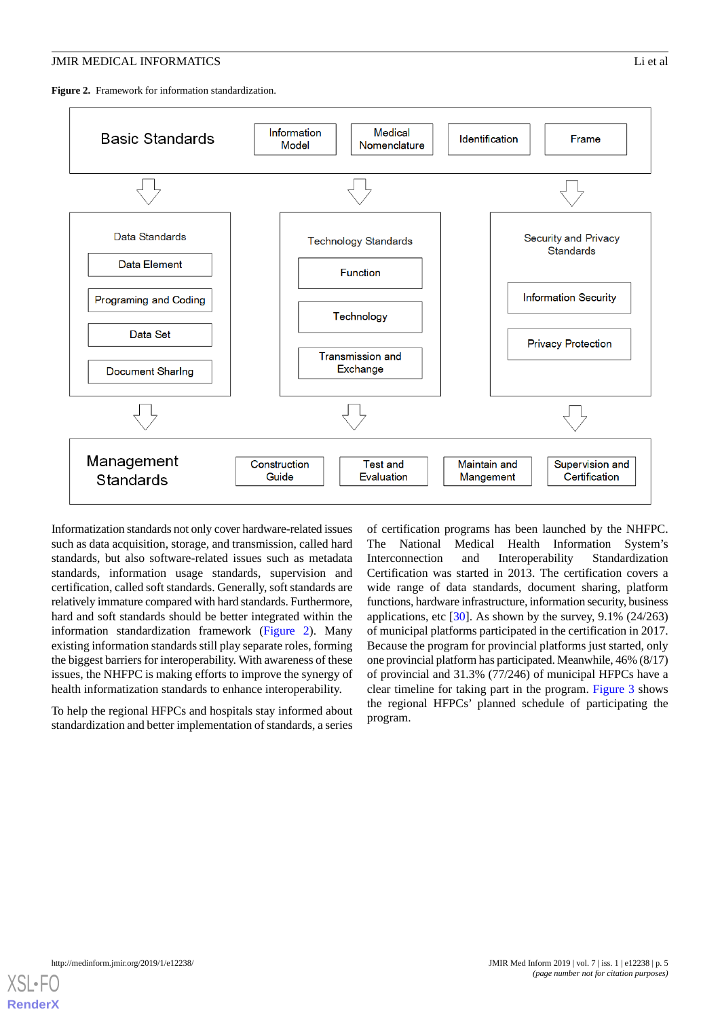<span id="page-4-0"></span>**Figure 2.** Framework for information standardization.



Informatization standards not only cover hardware-related issues such as data acquisition, storage, and transmission, called hard standards, but also software-related issues such as metadata standards, information usage standards, supervision and certification, called soft standards. Generally, soft standards are relatively immature compared with hard standards. Furthermore, hard and soft standards should be better integrated within the information standardization framework ([Figure 2\)](#page-4-0). Many existing information standards still play separate roles, forming the biggest barriers for interoperability. With awareness of these issues, the NHFPC is making efforts to improve the synergy of health informatization standards to enhance interoperability.

To help the regional HFPCs and hospitals stay informed about standardization and better implementation of standards, a series

of certification programs has been launched by the NHFPC. The National Medical Health Information System's Interconnection and Interoperability Standardization Certification was started in 2013. The certification covers a wide range of data standards, document sharing, platform functions, hardware infrastructure, information security, business applications, etc  $\lceil 30 \rceil$ . As shown by the survey, 9.1% (24/263) of municipal platforms participated in the certification in 2017. Because the program for provincial platforms just started, only one provincial platform has participated. Meanwhile, 46% (8/17) of provincial and 31.3% (77/246) of municipal HFPCs have a clear timeline for taking part in the program. [Figure 3](#page-5-0) shows the regional HFPCs' planned schedule of participating the program.

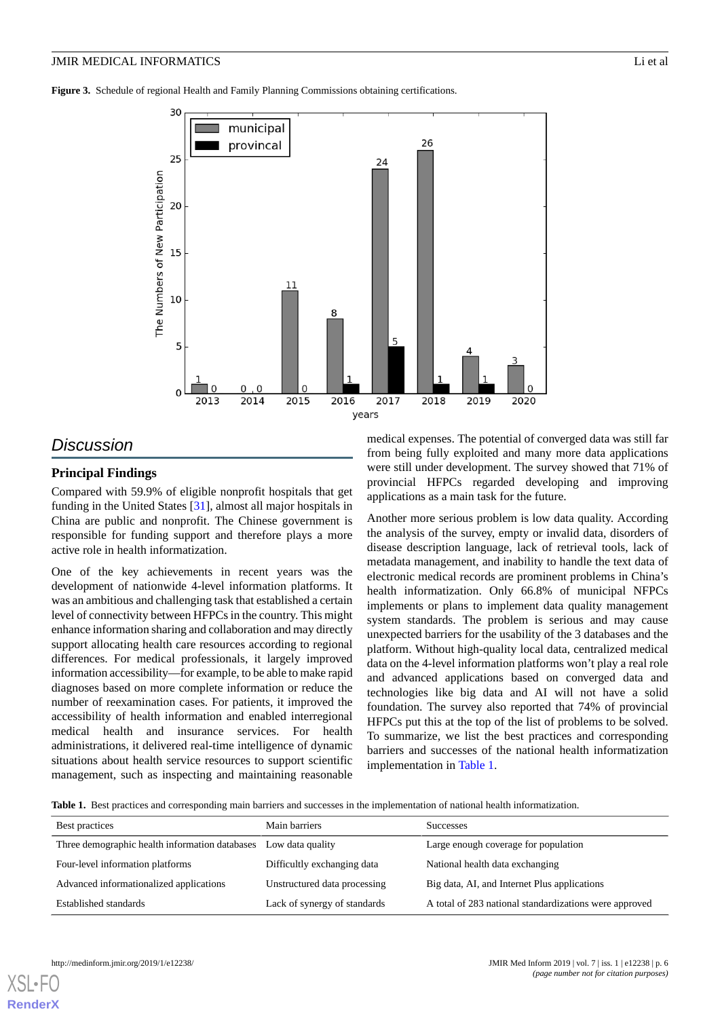<span id="page-5-0"></span>**Figure 3.** Schedule of regional Health and Family Planning Commissions obtaining certifications.



# *Discussion*

## **Principal Findings**

Compared with 59.9% of eligible nonprofit hospitals that get funding in the United States [\[31](#page-7-11)], almost all major hospitals in China are public and nonprofit. The Chinese government is responsible for funding support and therefore plays a more active role in health informatization.

One of the key achievements in recent years was the development of nationwide 4-level information platforms. It was an ambitious and challenging task that established a certain level of connectivity between HFPCs in the country. This might enhance information sharing and collaboration and may directly support allocating health care resources according to regional differences. For medical professionals, it largely improved information accessibility—for example, to be able to make rapid diagnoses based on more complete information or reduce the number of reexamination cases. For patients, it improved the accessibility of health information and enabled interregional medical health and insurance services. For health administrations, it delivered real-time intelligence of dynamic situations about health service resources to support scientific management, such as inspecting and maintaining reasonable

medical expenses. The potential of converged data was still far from being fully exploited and many more data applications were still under development. The survey showed that 71% of provincial HFPCs regarded developing and improving applications as a main task for the future.

Another more serious problem is low data quality. According the analysis of the survey, empty or invalid data, disorders of disease description language, lack of retrieval tools, lack of metadata management, and inability to handle the text data of electronic medical records are prominent problems in China's health informatization. Only 66.8% of municipal NFPCs implements or plans to implement data quality management system standards. The problem is serious and may cause unexpected barriers for the usability of the 3 databases and the platform. Without high-quality local data, centralized medical data on the 4-level information platforms won't play a real role and advanced applications based on converged data and technologies like big data and AI will not have a solid foundation. The survey also reported that 74% of provincial HFPCs put this at the top of the list of problems to be solved. To summarize, we list the best practices and corresponding barriers and successes of the national health informatization implementation in [Table 1.](#page-5-1)

<span id="page-5-1"></span>**Table 1.** Best practices and corresponding main barriers and successes in the implementation of national health informatization.

| Best practices                                 | Main barriers                | <b>Successes</b>                                       |
|------------------------------------------------|------------------------------|--------------------------------------------------------|
| Three demographic health information databases | Low data quality             | Large enough coverage for population                   |
| Four-level information platforms               | Difficultly exchanging data  | National health data exchanging                        |
| Advanced informationalized applications        | Unstructured data processing | Big data, AI, and Internet Plus applications           |
| Established standards                          | Lack of synergy of standards | A total of 283 national standardizations were approved |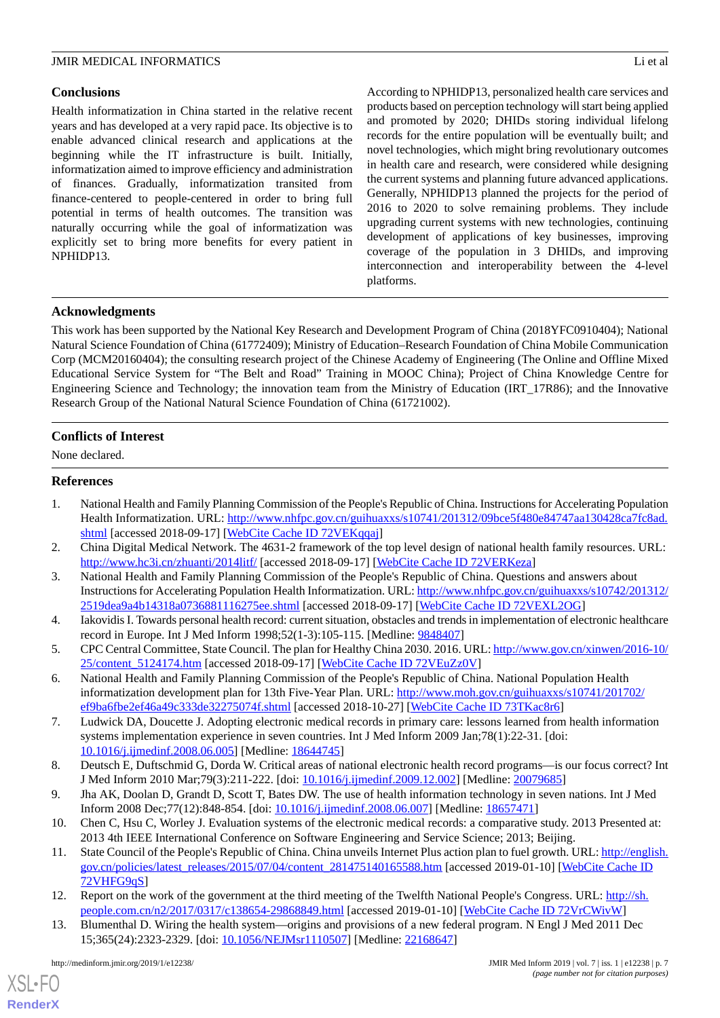# **Conclusions**

Health informatization in China started in the relative recent years and has developed at a very rapid pace. Its objective is to enable advanced clinical research and applications at the beginning while the IT infrastructure is built. Initially, informatization aimed to improve efficiency and administration of finances. Gradually, informatization transited from finance-centered to people-centered in order to bring full potential in terms of health outcomes. The transition was naturally occurring while the goal of informatization was explicitly set to bring more benefits for every patient in NPHIDP13.

According to NPHIDP13, personalized health care services and products based on perception technology will start being applied and promoted by 2020; DHIDs storing individual lifelong records for the entire population will be eventually built; and novel technologies, which might bring revolutionary outcomes in health care and research, were considered while designing the current systems and planning future advanced applications. Generally, NPHIDP13 planned the projects for the period of 2016 to 2020 to solve remaining problems. They include upgrading current systems with new technologies, continuing development of applications of key businesses, improving coverage of the population in 3 DHIDs, and improving interconnection and interoperability between the 4-level platforms.

# **Acknowledgments**

This work has been supported by the National Key Research and Development Program of China (2018YFC0910404); National Natural Science Foundation of China (61772409); Ministry of Education–Research Foundation of China Mobile Communication Corp (MCM20160404); the consulting research project of the Chinese Academy of Engineering (The Online and Offline Mixed Educational Service System for "The Belt and Road" Training in MOOC China); Project of China Knowledge Centre for Engineering Science and Technology; the innovation team from the Ministry of Education (IRT\_17R86); and the Innovative Research Group of the National Natural Science Foundation of China (61721002).

# **Conflicts of Interest**

<span id="page-6-0"></span>None declared.

## **References**

- <span id="page-6-2"></span><span id="page-6-1"></span>1. National Health and Family Planning Commission of the People's Republic of China. Instructions for Accelerating Population Health Informatization. URL: [http://www.nhfpc.gov.cn/guihuaxxs/s10741/201312/09bce5f480e84747aa130428ca7fc8ad.](http://www.nhfpc.gov.cn/guihuaxxs/s10741/201312/09bce5f480e84747aa130428ca7fc8ad.shtml) [shtml](http://www.nhfpc.gov.cn/guihuaxxs/s10741/201312/09bce5f480e84747aa130428ca7fc8ad.shtml) [accessed 2018-09-17] [[WebCite Cache ID 72VEKqqaj](http://www.webcitation.org/

                                72VEKqqaj)]
- <span id="page-6-3"></span>2. China Digital Medical Network. The 4631-2 framework of the top level design of national health family resources. URL: <http://www.hc3i.cn/zhuanti/2014litf/> [accessed 2018-09-17] [[WebCite Cache ID 72VERKeza\]](http://www.webcitation.org/

                                72VERKeza)
- <span id="page-6-4"></span>3. National Health and Family Planning Commission of the People's Republic of China. Questions and answers about Instructions for Accelerating Population Health Informatization. URL: [http://www.nhfpc.gov.cn/guihuaxxs/s10742/201312/](http://www.nhfpc.gov.cn/guihuaxxs/s10742/201312/2519dea9a4b14318a0736881116275ee.shtml) [2519dea9a4b14318a0736881116275ee.shtml](http://www.nhfpc.gov.cn/guihuaxxs/s10742/201312/2519dea9a4b14318a0736881116275ee.shtml) [accessed 2018-09-17] [\[WebCite Cache ID 72VEXL2OG\]](http://www.webcitation.org/

                                72VEXL2OG)
- <span id="page-6-5"></span>4. Iakovidis I. Towards personal health record: current situation, obstacles and trends in implementation of electronic healthcare record in Europe. Int J Med Inform 1998;52(1-3):105-115. [Medline: [9848407\]](http://www.ncbi.nlm.nih.gov/entrez/query.fcgi?cmd=Retrieve&db=PubMed&list_uids=9848407&dopt=Abstract)
- <span id="page-6-6"></span>5. CPC Central Committee, State Council. The plan for Healthy China 2030. 2016. URL: [http://www.gov.cn/xinwen/2016-10/](http://www.gov.cn/xinwen/2016-10/25/content_5124174.htm) [25/content\\_5124174.htm](http://www.gov.cn/xinwen/2016-10/25/content_5124174.htm) [accessed 2018-09-17] [[WebCite Cache ID 72VEuZz0V\]](http://www.webcitation.org/

                                72VEuZz0V)
- 6. National Health and Family Planning Commission of the People's Republic of China. National Population Health informatization development plan for 13th Five-Year Plan. URL: [http://www.moh.gov.cn/guihuaxxs/s10741/201702/](http://www.moh.gov.cn/guihuaxxs/s10741/201702/ef9ba6fbe2ef46a49c333de32275074f.shtml) [ef9ba6fbe2ef46a49c333de32275074f.shtml](http://www.moh.gov.cn/guihuaxxs/s10741/201702/ef9ba6fbe2ef46a49c333de32275074f.shtml) [accessed 2018-10-27] [[WebCite Cache ID 73TKac8r6](http://www.webcitation.org/

                                73TKac8r6)]
- <span id="page-6-7"></span>7. Ludwick DA, Doucette J. Adopting electronic medical records in primary care: lessons learned from health information systems implementation experience in seven countries. Int J Med Inform 2009 Jan;78(1):22-31. [doi: [10.1016/j.ijmedinf.2008.06.005\]](http://dx.doi.org/10.1016/j.ijmedinf.2008.06.005) [Medline: [18644745](http://www.ncbi.nlm.nih.gov/entrez/query.fcgi?cmd=Retrieve&db=PubMed&list_uids=18644745&dopt=Abstract)]
- <span id="page-6-8"></span>8. Deutsch E, Duftschmid G, Dorda W. Critical areas of national electronic health record programs—is our focus correct? Int J Med Inform 2010 Mar;79(3):211-222. [doi: [10.1016/j.ijmedinf.2009.12.002](http://dx.doi.org/10.1016/j.ijmedinf.2009.12.002)] [Medline: [20079685\]](http://www.ncbi.nlm.nih.gov/entrez/query.fcgi?cmd=Retrieve&db=PubMed&list_uids=20079685&dopt=Abstract)
- <span id="page-6-9"></span>9. Jha AK, Doolan D, Grandt D, Scott T, Bates DW. The use of health information technology in seven nations. Int J Med Inform 2008 Dec;77(12):848-854. [doi: [10.1016/j.ijmedinf.2008.06.007](http://dx.doi.org/10.1016/j.ijmedinf.2008.06.007)] [Medline: [18657471](http://www.ncbi.nlm.nih.gov/entrez/query.fcgi?cmd=Retrieve&db=PubMed&list_uids=18657471&dopt=Abstract)]
- <span id="page-6-10"></span>10. Chen C, Hsu C, Worley J. Evaluation systems of the electronic medical records: a comparative study. 2013 Presented at: 2013 4th IEEE International Conference on Software Engineering and Service Science; 2013; Beijing.
- 11. State Council of the People's Republic of China. China unveils Internet Plus action plan to fuel growth. URL: [http://english.](http://english.gov.cn/policies/latest_releases/2015/07/04/content_281475140165588.htm) [gov.cn/policies/latest\\_releases/2015/07/04/content\\_281475140165588.htm](http://english.gov.cn/policies/latest_releases/2015/07/04/content_281475140165588.htm) [accessed 2019-01-10] [[WebCite Cache ID](http://www.webcitation.org/

                                72VHFG9qS) [72VHFG9qS](http://www.webcitation.org/

                                72VHFG9qS)]
- 12. Report on the work of the government at the third meeting of the Twelfth National People's Congress. URL: [http://sh.](http://sh.people.com.cn/n2/2017/0317/c138654-29868849.html) [people.com.cn/n2/2017/0317/c138654-29868849.html](http://sh.people.com.cn/n2/2017/0317/c138654-29868849.html) [accessed 2019-01-10] [[WebCite Cache ID 72VrCWivW\]](http://www.webcitation.org/

                                72VrCWivW)
- 13. Blumenthal D. Wiring the health system—origins and provisions of a new federal program. N Engl J Med 2011 Dec 15;365(24):2323-2329. [doi: [10.1056/NEJMsr1110507](http://dx.doi.org/10.1056/NEJMsr1110507)] [Medline: [22168647\]](http://www.ncbi.nlm.nih.gov/entrez/query.fcgi?cmd=Retrieve&db=PubMed&list_uids=22168647&dopt=Abstract)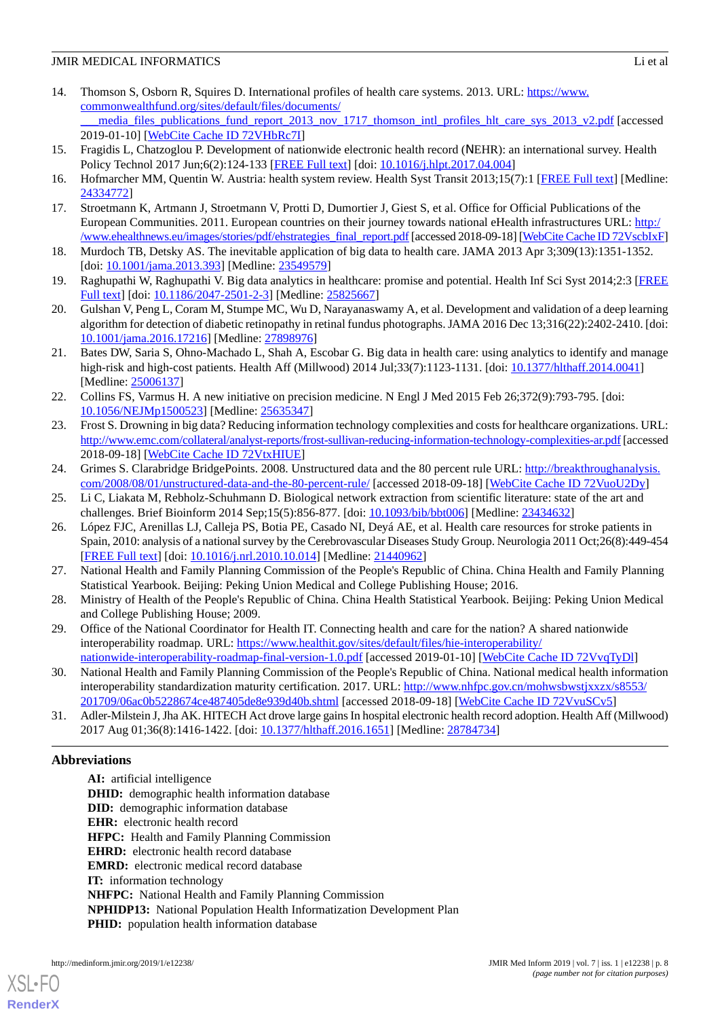- 14. Thomson S, Osborn R, Squires D. International profiles of health care systems. 2013. URL: [https://www.](https://www.commonwealthfund.org/sites/default/files/documents/___media_files_publications_fund_report_2013_nov_1717_thomson_intl_profiles_hlt_care_sys_2013_v2.pdf) [commonwealthfund.org/sites/default/files/documents/](https://www.commonwealthfund.org/sites/default/files/documents/___media_files_publications_fund_report_2013_nov_1717_thomson_intl_profiles_hlt_care_sys_2013_v2.pdf) media files publications fund report 2013 nov 1717 thomson intl\_profiles hlt\_care\_sys\_2013\_v2.pdf [accessed 2019-01-10] [\[WebCite Cache ID 72VHbRc7I](http://www.webcitation.org/

                                72VHbRc7I)]
- 15. Fragidis L, Chatzoglou P. Development of nationwide electronic health record (ΝEHR): an international survey. Health Policy Technol 2017 Jun;6(2):124-133 [[FREE Full text](https://doi.org/10.1002/iub.1366)] [doi: [10.1016/j.hlpt.2017.04.004](http://dx.doi.org/10.1016/j.hlpt.2017.04.004)]
- <span id="page-7-0"></span>16. Hofmarcher MM, Quentin W. Austria: health system review. Health Syst Transit 2013;15(7):1 [\[FREE Full text\]](http://www.euro.who.int/__data/assets/pdf_file/0017/233414/HiT-Austria.pdf) [Medline: [24334772](http://www.ncbi.nlm.nih.gov/entrez/query.fcgi?cmd=Retrieve&db=PubMed&list_uids=24334772&dopt=Abstract)]
- <span id="page-7-1"></span>17. Stroetmann K, Artmann J, Stroetmann V, Protti D, Dumortier J, Giest S, et al. Office for Official Publications of the European Communities. 2011. European countries on their journey towards national eHealth infrastructures URL: [http:/](http://www.ehealthnews.eu/images/stories/pdf/ehstrategies_final_report.pdf) [/www.ehealthnews.eu/images/stories/pdf/ehstrategies\\_final\\_report.pdf](http://www.ehealthnews.eu/images/stories/pdf/ehstrategies_final_report.pdf) [accessed 2018-09-18] [\[WebCite Cache ID 72VscbIxF\]](http://www.webcitation.org/

                                72VscbIxF)
- 18. Murdoch TB, Detsky AS. The inevitable application of big data to health care. JAMA 2013 Apr 3;309(13):1351-1352. [doi: [10.1001/jama.2013.393\]](http://dx.doi.org/10.1001/jama.2013.393) [Medline: [23549579](http://www.ncbi.nlm.nih.gov/entrez/query.fcgi?cmd=Retrieve&db=PubMed&list_uids=23549579&dopt=Abstract)]
- <span id="page-7-2"></span>19. Raghupathi W, Raghupathi V. Big data analytics in healthcare: promise and potential. Health Inf Sci Syst 2014;2:3 [\[FREE](https://hissjournal.biomedcentral.com/articles/10.1186/2047-2501-2-3) [Full text\]](https://hissjournal.biomedcentral.com/articles/10.1186/2047-2501-2-3) [doi: [10.1186/2047-2501-2-3](http://dx.doi.org/10.1186/2047-2501-2-3)] [Medline: [25825667](http://www.ncbi.nlm.nih.gov/entrez/query.fcgi?cmd=Retrieve&db=PubMed&list_uids=25825667&dopt=Abstract)]
- <span id="page-7-3"></span>20. Gulshan V, Peng L, Coram M, Stumpe MC, Wu D, Narayanaswamy A, et al. Development and validation of a deep learning algorithm for detection of diabetic retinopathy in retinal fundus photographs. JAMA 2016 Dec 13;316(22):2402-2410. [doi: [10.1001/jama.2016.17216](http://dx.doi.org/10.1001/jama.2016.17216)] [Medline: [27898976](http://www.ncbi.nlm.nih.gov/entrez/query.fcgi?cmd=Retrieve&db=PubMed&list_uids=27898976&dopt=Abstract)]
- 21. Bates DW, Saria S, Ohno-Machado L, Shah A, Escobar G. Big data in health care: using analytics to identify and manage high-risk and high-cost patients. Health Aff (Millwood) 2014 Jul;33(7):1123-1131. [doi: [10.1377/hlthaff.2014.0041](http://dx.doi.org/10.1377/hlthaff.2014.0041)] [Medline: [25006137](http://www.ncbi.nlm.nih.gov/entrez/query.fcgi?cmd=Retrieve&db=PubMed&list_uids=25006137&dopt=Abstract)]
- <span id="page-7-4"></span>22. Collins FS, Varmus H. A new initiative on precision medicine. N Engl J Med 2015 Feb 26;372(9):793-795. [doi: [10.1056/NEJMp1500523\]](http://dx.doi.org/10.1056/NEJMp1500523) [Medline: [25635347\]](http://www.ncbi.nlm.nih.gov/entrez/query.fcgi?cmd=Retrieve&db=PubMed&list_uids=25635347&dopt=Abstract)
- <span id="page-7-5"></span>23. Frost S. Drowning in big data? Reducing information technology complexities and costs for healthcare organizations. URL: <http://www.emc.com/collateral/analyst-reports/frost-sullivan-reducing-information-technology-complexities-ar.pdf> [accessed 2018-09-18] [\[WebCite Cache ID 72VtxHIUE](http://www.webcitation.org/

                                72VtxHIUE)]
- <span id="page-7-7"></span><span id="page-7-6"></span>24. Grimes S. Clarabridge BridgePoints. 2008. Unstructured data and the 80 percent rule URL: [http://breakthroughanalysis.](http://breakthroughanalysis.com/2008/08/01/unstructured-data-and-the-80-percent-rule/) [com/2008/08/01/unstructured-data-and-the-80-percent-rule/](http://breakthroughanalysis.com/2008/08/01/unstructured-data-and-the-80-percent-rule/) [accessed 2018-09-18] [\[WebCite Cache ID 72VuoU2Dy\]](http://www.webcitation.org/

                                72VuoU2Dy)
- 25. Li C, Liakata M, Rebholz-Schuhmann D. Biological network extraction from scientific literature: state of the art and challenges. Brief Bioinform 2014 Sep;15(5):856-877. [doi: [10.1093/bib/bbt006](http://dx.doi.org/10.1093/bib/bbt006)] [Medline: [23434632\]](http://www.ncbi.nlm.nih.gov/entrez/query.fcgi?cmd=Retrieve&db=PubMed&list_uids=23434632&dopt=Abstract)
- <span id="page-7-8"></span>26. López FJC, Arenillas LJ, Calleja PS, Botia PE, Casado NI, Deyá AE, et al. Health care resources for stroke patients in Spain, 2010: analysis of a national survey by the Cerebrovascular Diseases Study Group. Neurologia 2011 Oct;26(8):449-454 [[FREE Full text](http://www.elsevier.es/en/linksolver/ft/pii/S0213-4853(11)00063-6)] [doi: [10.1016/j.nrl.2010.10.014\]](http://dx.doi.org/10.1016/j.nrl.2010.10.014) [Medline: [21440962](http://www.ncbi.nlm.nih.gov/entrez/query.fcgi?cmd=Retrieve&db=PubMed&list_uids=21440962&dopt=Abstract)]
- <span id="page-7-9"></span>27. National Health and Family Planning Commission of the People's Republic of China. China Health and Family Planning Statistical Yearbook. Beijing: Peking Union Medical and College Publishing House; 2016.
- <span id="page-7-10"></span>28. Ministry of Health of the People's Republic of China. China Health Statistical Yearbook. Beijing: Peking Union Medical and College Publishing House; 2009.
- 29. Office of the National Coordinator for Health IT. Connecting health and care for the nation? A shared nationwide interoperability roadmap. URL: [https://www.healthit.gov/sites/default/files/hie-interoperability/](https://www.healthit.gov/sites/default/files/hie-interoperability/nationwide-interoperability-roadmap-final-version-1.0.pdf)
- <span id="page-7-11"></span>[nationwide-interoperability-roadmap-final-version-1.0.pdf](https://www.healthit.gov/sites/default/files/hie-interoperability/nationwide-interoperability-roadmap-final-version-1.0.pdf) [accessed 2019-01-10] [\[WebCite Cache ID 72VvqTyDl](http://www.webcitation.org/

                                72VvqTyDl)] 30. National Health and Family Planning Commission of the People's Republic of China. National medical health information interoperability standardization maturity certification. 2017. URL: [http://www.nhfpc.gov.cn/mohwsbwstjxxzx/s8553/](http://www.nhfpc.gov.cn/mohwsbwstjxxzx/s8553/201709/06ac0b5228674ce487405de8e939d40b.shtml)
	- [201709/06ac0b5228674ce487405de8e939d40b.shtml](http://www.nhfpc.gov.cn/mohwsbwstjxxzx/s8553/201709/06ac0b5228674ce487405de8e939d40b.shtml) [accessed 2018-09-18] [\[WebCite Cache ID 72VvuSCv5\]](http://www.webcitation.org/
	
	                 72VvuSCv5)
- 31. Adler-Milstein J, Jha AK. HITECH Act drove large gains In hospital electronic health record adoption. Health Aff (Millwood) 2017 Aug 01;36(8):1416-1422. [doi: [10.1377/hlthaff.2016.1651](http://dx.doi.org/10.1377/hlthaff.2016.1651)] [Medline: [28784734](http://www.ncbi.nlm.nih.gov/entrez/query.fcgi?cmd=Retrieve&db=PubMed&list_uids=28784734&dopt=Abstract)]

# **Abbreviations**

**AI:** artificial intelligence **DHID:** demographic health information database **DID:** demographic information database **EHR:** electronic health record **HFPC:** Health and Family Planning Commission **EHRD:** electronic health record database **EMRD:** electronic medical record database **IT:** information technology **NHFPC:** National Health and Family Planning Commission **NPHIDP13:** National Population Health Informatization Development Plan **PHID:** population health information database